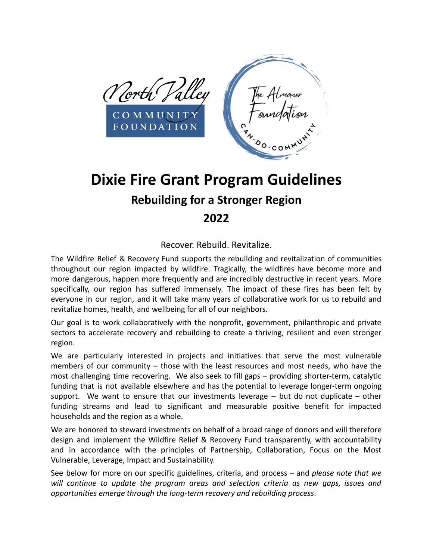

# **Dixie Fire Grant Program Guidelines Rebuilding for a Stronger Region 2022**

# Recover. Rebuild. Revitalize.

The Wildfire Relief & Recovery Fund supports the rebuilding and revitalization of communities throughout our region impacted by wildfire. Tragically, the wildfires have become more and more dangerous, happen more frequently and are incredibly destructive in recent years. More specifically, our region has suffered immensely. The impact of these fires has been felt by everyone in our region, and it will take many years of collaborative work for us to rebuild and revitalize homes, health, and wellbeing for all of our neighbors.

Our goal is to work collaboratively with the nonprofit, government, philanthropic and private sectors to accelerate recovery and rebuilding to create a thriving, resilient and even stronger region.

We are particularly interested in projects and initiatives that serve the most vulnerable members of our community – those with the least resources and most needs, who have the most challenging time recovering. We also seek to fill gaps – providing shorter-term, catalytic funding that is not available elsewhere and has the potential to leverage longer-term ongoing support. We want to ensure that our investments leverage  $-$  but do not duplicate  $-$  other funding streams and lead to significant and measurable positive benefit for impacted households and the region as a whole.

We are honored to steward investments on behalf of a broad range of donors and will therefore design and implement the Wildfire Relief & Recovery Fund transparently, with accountability and in accordance with the principles of Partnership, Collaboration, Focus on the Most Vulnerable, Leverage, Impact and Sustainability.

See below for more on our specific guidelines, criteria, and process – and *please note that we will continue to update the program areas and selection criteria as new gaps, issues and opportunities emerge through the long-term recovery and rebuilding process*.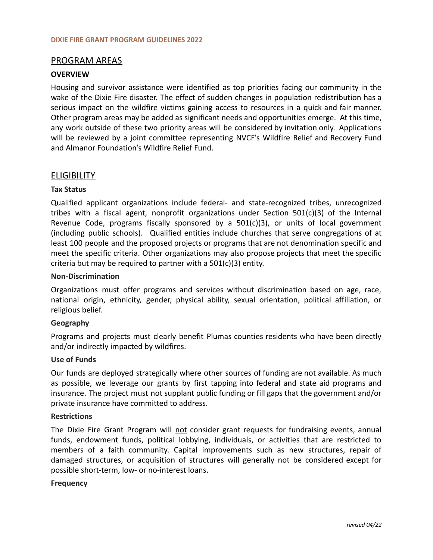# PROGRAM AREAS

# **OVERVIEW**

Housing and survivor assistance were identified as top priorities facing our community in the wake of the Dixie Fire disaster. The effect of sudden changes in population redistribution has a serious impact on the wildfire victims gaining access to resources in a quick and fair manner. Other program areas may be added as significant needs and opportunities emerge. At this time, any work outside of these two priority areas will be considered by invitation only. Applications will be reviewed by a joint committee representing NVCF's Wildfire Relief and Recovery Fund and Almanor Foundation's Wildfire Relief Fund.

# **ELIGIBILITY**

#### **Tax Status**

Qualified applicant organizations include federal- and state-recognized tribes, unrecognized tribes with a fiscal agent, nonprofit organizations under Section 501(c)(3) of the Internal Revenue Code, programs fiscally sponsored by a 501(c)(3), or units of local government (including public schools). Qualified entities include churches that serve congregations of at least 100 people and the proposed projects or programs that are not denomination specific and meet the specific criteria. Other organizations may also propose projects that meet the specific criteria but may be required to partner with a 501(c)(3) entity.

#### **Non-Discrimination**

Organizations must offer programs and services without discrimination based on age, race, national origin, ethnicity, gender, physical ability, sexual orientation, political affiliation, or religious belief.

# **Geography**

Programs and projects must clearly benefit Plumas counties residents who have been directly and/or indirectly impacted by wildfires.

#### **Use of Funds**

Our funds are deployed strategically where other sources of funding are not available. As much as possible, we leverage our grants by first tapping into federal and state aid programs and insurance. The project must not supplant public funding or fill gaps that the government and/or private insurance have committed to address.

#### **Restrictions**

The Dixie Fire Grant Program will not consider grant requests for fundraising events, annual funds, endowment funds, political lobbying, individuals, or activities that are restricted to members of a faith community. Capital improvements such as new structures, repair of damaged structures, or acquisition of structures will generally not be considered except for possible short-term, low- or no-interest loans.

#### **Frequency**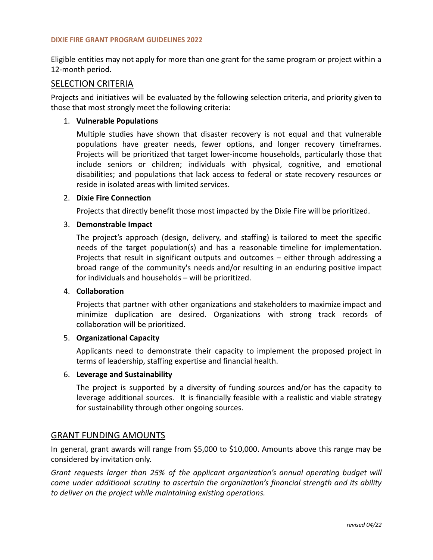#### **DIXIE FIRE GRANT PROGRAM GUIDELINES 2022**

Eligible entities may not apply for more than one grant for the same program or project within a 12-month period.

# SELECTION CRITERIA

Projects and initiatives will be evaluated by the following selection criteria, and priority given to those that most strongly meet the following criteria:

# 1. **Vulnerable Populations**

Multiple studies have shown that disaster recovery is not equal and that vulnerable populations have greater needs, fewer options, and longer recovery timeframes. Projects will be prioritized that target lower-income households, particularly those that include seniors or children; individuals with physical, cognitive, and emotional disabilities; and populations that lack access to federal or state recovery resources or reside in isolated areas with limited services.

# 2. **Dixie Fire Connection**

Projects that directly benefit those most impacted by the Dixie Fire will be prioritized.

# 3. **Demonstrable Impact**

The project's approach (design, delivery, and staffing) is tailored to meet the specific needs of the target population(s) and has a reasonable timeline for implementation. Projects that result in significant outputs and outcomes – either through addressing a broad range of the community's needs and/or resulting in an enduring positive impact for individuals and households – will be prioritized.

#### 4. **Collaboration**

Projects that partner with other organizations and stakeholders to maximize impact and minimize duplication are desired. Organizations with strong track records of collaboration will be prioritized.

# 5. **Organizational Capacity**

Applicants need to demonstrate their capacity to implement the proposed project in terms of leadership, staffing expertise and financial health.

# 6. **Leverage and Sustainability**

The project is supported by a diversity of funding sources and/or has the capacity to leverage additional sources. It is financially feasible with a realistic and viable strategy for sustainability through other ongoing sources.

# GRANT FUNDING AMOUNTS

In general, grant awards will range from \$5,000 to \$10,000. Amounts above this range may be considered by invitation only.

*Grant requests larger than 25% of the applicant organization's annual operating budget will come under additional scrutiny to ascertain the organization's financial strength and its ability to deliver on the project while maintaining existing operations.*